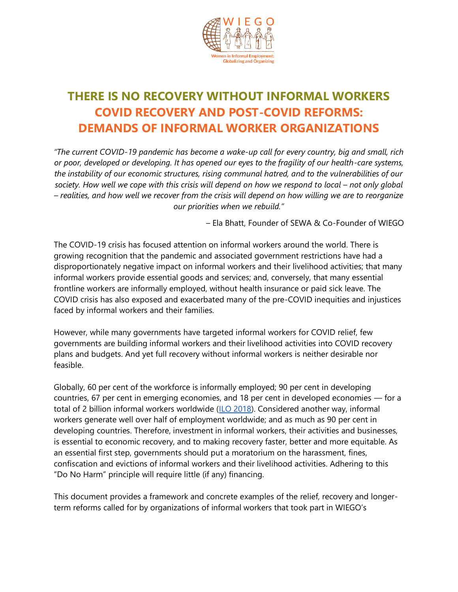

# **THERE IS NO RECOVERY WITHOUT INFORMAL WORKERS COVID RECOVERY AND POST-COVID REFORMS: DEMANDS OF INFORMAL WORKER ORGANIZATIONS**

*"The current COVID-19 pandemic has become a wake-up call for every country, big and small, rich or poor, developed or developing. It has opened our eyes to the fragility of our health-care systems, the instability of our economic structures, rising communal hatred, and to the vulnerabilities of our*  society. How well we cope with this crisis will depend on how we respond to local – not only global *– realities, and how well we recover from the crisis will depend on how willing we are to reorganize our priorities when we rebuild."*

*–* Ela Bhatt, Founder of SEWA & Co-Founder of WIEGO

The COVID-19 crisis has focused attention on informal workers around the world. There is growing recognition that the pandemic and associated government restrictions have had a disproportionately negative impact on informal workers and their livelihood activities; that many informal workers provide essential goods and services; and, conversely, that many essential frontline workers are informally employed, without health insurance or paid sick leave. The COVID crisis has also exposed and exacerbated many of the pre-COVID inequities and injustices faced by informal workers and their families.

However, while many governments have targeted informal workers for COVID relief, few governments are building informal workers and their livelihood activities into COVID recovery plans and budgets. And yet full recovery without informal workers is neither desirable nor feasible.

Globally, 60 per cent of the workforce is informally employed; 90 per cent in developing countries, 67 per cent in emerging economies, and 18 per cent in developed economies — for a total of 2 billion informal workers worldwide [\(ILO 2018\)](https://www.ilo.org/global/publications/books/WCMS_626831/lang--en/index.htm). Considered another way, informal workers generate well over half of employment worldwide; and as much as 90 per cent in developing countries. Therefore, investment in informal workers, their activities and businesses, is essential to economic recovery, and to making recovery faster, better and more equitable. As an essential first step, governments should put a moratorium on the harassment, fines, confiscation and evictions of informal workers and their livelihood activities. Adhering to this "Do No Harm" principle will require little (if any) financing.

This document provides a framework and concrete examples of the relief, recovery and longerterm reforms called for by organizations of informal workers that took part in WIEGO's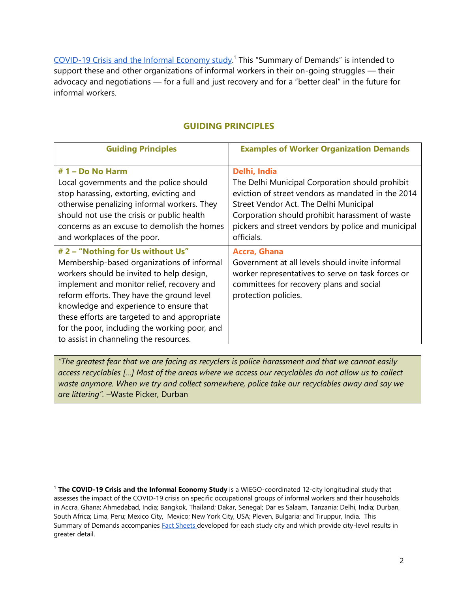[COVID-19 Crisis and the Informal](https://www.wiego.org/COVID-19-Crisis-and-the-Informal-Economy-Study) Economy study.<sup>1</sup> This "Summary of Demands" is intended to support these and other organizations of informal workers in their on-going struggles — their advocacy and negotiations — for a full and just recovery and for a "better deal" in the future for informal workers.

#### **GUIDING PRINCIPLES**

| <b>Guiding Principles</b>                                                                                                                                                                                                                                                                                                                                                                                       | <b>Examples of Worker Organization Demands</b>                                                                                                                                                                                                                                         |
|-----------------------------------------------------------------------------------------------------------------------------------------------------------------------------------------------------------------------------------------------------------------------------------------------------------------------------------------------------------------------------------------------------------------|----------------------------------------------------------------------------------------------------------------------------------------------------------------------------------------------------------------------------------------------------------------------------------------|
| $# 1 - Do No Harm$<br>Local governments and the police should<br>stop harassing, extorting, evicting and<br>otherwise penalizing informal workers. They<br>should not use the crisis or public health<br>concerns as an excuse to demolish the homes<br>and workplaces of the poor.                                                                                                                             | Delhi, India<br>The Delhi Municipal Corporation should prohibit<br>eviction of street vendors as mandated in the 2014<br>Street Vendor Act. The Delhi Municipal<br>Corporation should prohibit harassment of waste<br>pickers and street vendors by police and municipal<br>officials. |
| # 2 - "Nothing for Us without Us"<br>Membership-based organizations of informal<br>workers should be invited to help design,<br>implement and monitor relief, recovery and<br>reform efforts. They have the ground level<br>knowledge and experience to ensure that<br>these efforts are targeted to and appropriate<br>for the poor, including the working poor, and<br>to assist in channeling the resources. | <b>Accra, Ghana</b><br>Government at all levels should invite informal<br>worker representatives to serve on task forces or<br>committees for recovery plans and social<br>protection policies.                                                                                        |

*"The greatest fear that we are facing as recyclers is police harassment and that we cannot easily access recyclables […] Most of the areas where we access our recyclables do not allow us to collect waste anymore. When we try and collect somewhere, police take our recyclables away and say we are littering".* –Waste Picker, Durban

<sup>1</sup> **The COVID-19 Crisis and the Informal Economy Study** is a WIEGO-coordinated 12-city longitudinal study that assesses the impact of the COVID-19 crisis on specific occupational groups of informal workers and their households in Accra, Ghana; Ahmedabad, India; Bangkok, Thailand; Dakar, Senegal; Dar es Salaam, Tanzania; Delhi, India; Durban, South Africa; Lima, Peru; Mexico City, Mexico; New York City, USA; Pleven, Bulgaria; and Tiruppur, India. This Summary of Demands accompanies **Fact Sheets developed for each study city and which provide city-level results in** greater detail.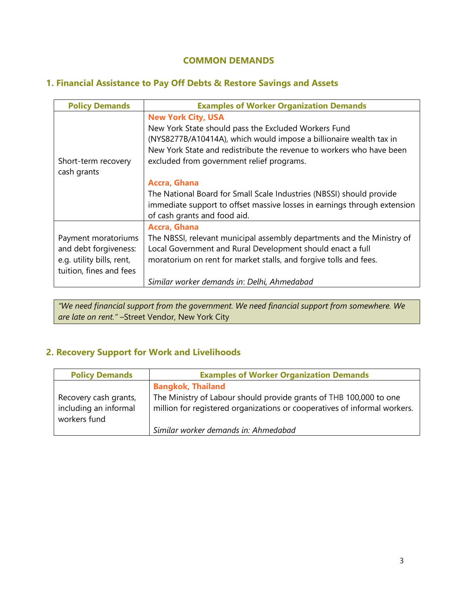## **COMMON DEMANDS**

## **1. Financial Assistance to Pay Off Debts & Restore Savings and Assets**

| <b>Policy Demands</b>                                                                                | <b>Examples of Worker Organization Demands</b>                                                                                                                                                                                                                               |
|------------------------------------------------------------------------------------------------------|------------------------------------------------------------------------------------------------------------------------------------------------------------------------------------------------------------------------------------------------------------------------------|
| Short-term recovery<br>cash grants                                                                   | <b>New York City, USA</b><br>New York State should pass the Excluded Workers Fund<br>(NYS8277B/A10414A), which would impose a billionaire wealth tax in<br>New York State and redistribute the revenue to workers who have been<br>excluded from government relief programs. |
|                                                                                                      | <b>Accra, Ghana</b><br>The National Board for Small Scale Industries (NBSSI) should provide<br>immediate support to offset massive losses in earnings through extension<br>of cash grants and food aid.                                                                      |
| Payment moratoriums<br>and debt forgiveness:<br>e.g. utility bills, rent,<br>tuition, fines and fees | Accra, Ghana<br>The NBSSI, relevant municipal assembly departments and the Ministry of<br>Local Government and Rural Development should enact a full<br>moratorium on rent for market stalls, and forgive tolls and fees.                                                    |
|                                                                                                      | Similar worker demands in: Delhi, Ahmedabad                                                                                                                                                                                                                                  |

*"We need financial support from the government. We need financial support from somewhere. We are late on rent." –*Street Vendor, New York City

# **2. Recovery Support for Work and Livelihoods**

| <b>Policy Demands</b>                                          | <b>Examples of Worker Organization Demands</b>                                                                                                  |
|----------------------------------------------------------------|-------------------------------------------------------------------------------------------------------------------------------------------------|
|                                                                | <b>Bangkok, Thailand</b>                                                                                                                        |
| Recovery cash grants,<br>including an informal<br>workers fund | The Ministry of Labour should provide grants of THB 100,000 to one<br>million for registered organizations or cooperatives of informal workers. |
|                                                                | Similar worker demands in: Ahmedabad                                                                                                            |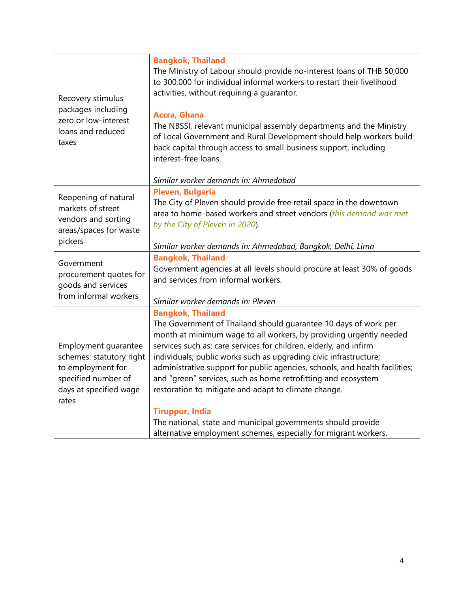| Recovery stimulus<br>packages including<br>zero or low-interest<br>loans and reduced<br>taxes                                   | <b>Bangkok, Thailand</b><br>The Ministry of Labour should provide no-interest loans of THB 50,000<br>to 300,000 for individual informal workers to restart their livelihood<br>activities, without requiring a guarantor.<br><b>Accra, Ghana</b><br>The NBSSI, relevant municipal assembly departments and the Ministry<br>of Local Government and Rural Development should help workers build<br>back capital through access to small business support, including<br>interest-free loans.                                                                                                                                                                                       |
|---------------------------------------------------------------------------------------------------------------------------------|----------------------------------------------------------------------------------------------------------------------------------------------------------------------------------------------------------------------------------------------------------------------------------------------------------------------------------------------------------------------------------------------------------------------------------------------------------------------------------------------------------------------------------------------------------------------------------------------------------------------------------------------------------------------------------|
|                                                                                                                                 | Similar worker demands in: Ahmedabad                                                                                                                                                                                                                                                                                                                                                                                                                                                                                                                                                                                                                                             |
| Reopening of natural<br>markets of street<br>vendors and sorting<br>areas/spaces for waste                                      | Pleven, Bulgaria<br>The City of Pleven should provide free retail space in the downtown<br>area to home-based workers and street vendors (this demand was met<br>by the City of Pleven in 2020).                                                                                                                                                                                                                                                                                                                                                                                                                                                                                 |
| pickers                                                                                                                         | Similar worker demands in: Ahmedabad, Bangkok, Delhi, Lima                                                                                                                                                                                                                                                                                                                                                                                                                                                                                                                                                                                                                       |
| Government<br>procurement quotes for<br>goods and services<br>from informal workers                                             | <b>Bangkok, Thailand</b><br>Government agencies at all levels should procure at least 30% of goods<br>and services from informal workers.<br>Similar worker demands in: Pleven                                                                                                                                                                                                                                                                                                                                                                                                                                                                                                   |
| Employment guarantee<br>schemes: statutory right<br>to employment for<br>specified number of<br>days at specified wage<br>rates | <b>Bangkok, Thailand</b><br>The Government of Thailand should guarantee 10 days of work per<br>month at minimum wage to all workers, by providing urgently needed<br>services such as: care services for children, elderly, and infirm<br>individuals; public works such as upgrading civic infrastructure;<br>administrative support for public agencies, schools, and health facilities;<br>and "green" services, such as home retrofitting and ecosystem<br>restoration to mitigate and adapt to climate change.<br><b>Tiruppur, India</b><br>The national, state and municipal governments should provide<br>alternative employment schemes, especially for migrant workers. |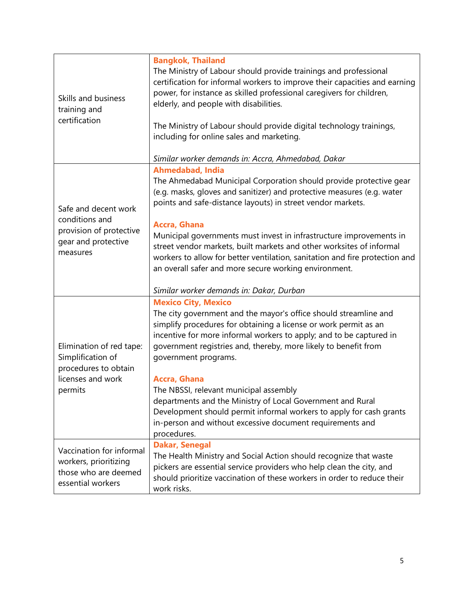| Skills and business<br>training and<br>certification                                                  | <b>Bangkok, Thailand</b><br>The Ministry of Labour should provide trainings and professional<br>certification for informal workers to improve their capacities and earning<br>power, for instance as skilled professional caregivers for children,<br>elderly, and people with disabilities.<br>The Ministry of Labour should provide digital technology trainings,<br>including for online sales and marketing.<br>Similar worker demands in: Accra, Ahmedabad, Dakar                                                                                                                                          |
|-------------------------------------------------------------------------------------------------------|-----------------------------------------------------------------------------------------------------------------------------------------------------------------------------------------------------------------------------------------------------------------------------------------------------------------------------------------------------------------------------------------------------------------------------------------------------------------------------------------------------------------------------------------------------------------------------------------------------------------|
| Safe and decent work<br>conditions and<br>provision of protective<br>gear and protective<br>measures  | <b>Ahmedabad, India</b><br>The Ahmedabad Municipal Corporation should provide protective gear<br>(e.g. masks, gloves and sanitizer) and protective measures (e.g. water<br>points and safe-distance layouts) in street vendor markets.<br>Accra, Ghana<br>Municipal governments must invest in infrastructure improvements in<br>street vendor markets, built markets and other worksites of informal<br>workers to allow for better ventilation, sanitation and fire protection and<br>an overall safer and more secure working environment.<br>Similar worker demands in: Dakar, Durban                       |
| Elimination of red tape:<br>Simplification of<br>procedures to obtain<br>licenses and work<br>permits | <b>Mexico City, Mexico</b><br>The city government and the mayor's office should streamline and<br>simplify procedures for obtaining a license or work permit as an<br>incentive for more informal workers to apply; and to be captured in<br>government registries and, thereby, more likely to benefit from<br>government programs.<br>Accra, Ghana<br>The NBSSI, relevant municipal assembly<br>departments and the Ministry of Local Government and Rural<br>Development should permit informal workers to apply for cash grants<br>in-person and without excessive document requirements and<br>procedures. |
| Vaccination for informal<br>workers, prioritizing<br>those who are deemed<br>essential workers        | <b>Dakar, Senegal</b><br>The Health Ministry and Social Action should recognize that waste<br>pickers are essential service providers who help clean the city, and<br>should prioritize vaccination of these workers in order to reduce their<br>work risks.                                                                                                                                                                                                                                                                                                                                                    |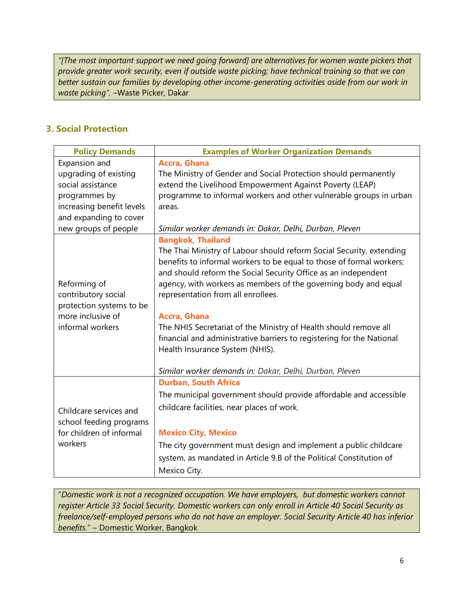*"[The most important support we need going forward] are alternatives for women waste pickers that provide greater work security, even if outside waste picking; have technical training so that we can better sustain our families by developing other income-generating activities aside from our work in waste picking". –*Waste Picker, Dakar

## **3. Social Protection**

| <b>Policy Demands</b>                         | <b>Examples of Worker Organization Demands</b>                        |
|-----------------------------------------------|-----------------------------------------------------------------------|
| Expansion and                                 | Accra, Ghana                                                          |
| upgrading of existing                         | The Ministry of Gender and Social Protection should permanently       |
| social assistance                             | extend the Livelihood Empowerment Against Poverty (LEAP)              |
| programmes by                                 | programme to informal workers and other vulnerable groups in urban    |
| increasing benefit levels                     | areas.                                                                |
| and expanding to cover                        |                                                                       |
| new groups of people                          | Similar worker demands in: Dakar, Delhi, Durban, Pleven               |
|                                               | <b>Bangkok, Thailand</b>                                              |
|                                               | The Thai Ministry of Labour should reform Social Security, extending  |
|                                               | benefits to informal workers to be equal to those of formal workers;  |
|                                               | and should reform the Social Security Office as an independent        |
| Reforming of                                  | agency, with workers as members of the governing body and equal       |
| contributory social                           | representation from all enrollees.                                    |
| protection systems to be<br>more inclusive of | Accra, Ghana                                                          |
| informal workers                              | The NHIS Secretariat of the Ministry of Health should remove all      |
|                                               | financial and administrative barriers to registering for the National |
|                                               | Health Insurance System (NHIS).                                       |
|                                               |                                                                       |
|                                               | Similar worker demands in: Dakar, Delhi, Durban, Pleven               |
|                                               | <b>Durban, South Africa</b>                                           |
| Childcare services and                        | The municipal government should provide affordable and accessible     |
|                                               | childcare facilities, near places of work.                            |
| school feeding programs                       |                                                                       |
| for children of informal                      | <b>Mexico City, Mexico</b>                                            |
| workers                                       | The city government must design and implement a public childcare      |
|                                               |                                                                       |
|                                               | system, as mandated in Article 9.B of the Political Constitution of   |
|                                               | Mexico City.                                                          |

"*Domestic work is not a recognized occupation. We have employers, but domestic workers cannot register Article 33 Social Security. Domestic workers can only enroll in Article 40 Social Security as freelance/self-employed persons who do not have an employer. Social Security Article 40 has inferior benefits*." – Domestic Worker, Bangkok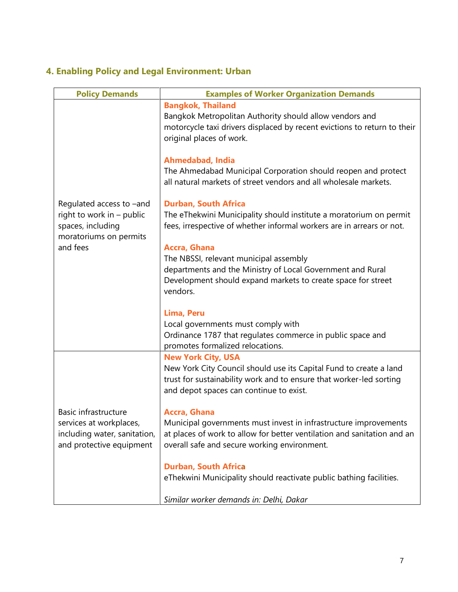# **4. Enabling Policy and Legal Environment: Urban**

| <b>Policy Demands</b>                                                                                            | <b>Examples of Worker Organization Demands</b>                                                                                                                                                                    |
|------------------------------------------------------------------------------------------------------------------|-------------------------------------------------------------------------------------------------------------------------------------------------------------------------------------------------------------------|
| Regulated access to -and<br>right to work in - public<br>spaces, including<br>moratoriums on permits<br>and fees | <b>Bangkok, Thailand</b><br>Bangkok Metropolitan Authority should allow vendors and<br>motorcycle taxi drivers displaced by recent evictions to return to their<br>original places of work.                       |
|                                                                                                                  | <b>Ahmedabad, India</b><br>The Ahmedabad Municipal Corporation should reopen and protect<br>all natural markets of street vendors and all wholesale markets.                                                      |
|                                                                                                                  | <b>Durban, South Africa</b><br>The eThekwini Municipality should institute a moratorium on permit<br>fees, irrespective of whether informal workers are in arrears or not.                                        |
|                                                                                                                  | <b>Accra, Ghana</b><br>The NBSSI, relevant municipal assembly<br>departments and the Ministry of Local Government and Rural<br>Development should expand markets to create space for street<br>vendors.           |
|                                                                                                                  | Lima, Peru<br>Local governments must comply with<br>Ordinance 1787 that regulates commerce in public space and<br>promotes formalized relocations.                                                                |
| Basic infrastructure<br>services at workplaces,<br>including water, sanitation,<br>and protective equipment      | <b>New York City, USA</b><br>New York City Council should use its Capital Fund to create a land<br>trust for sustainability work and to ensure that worker-led sorting<br>and depot spaces can continue to exist. |
|                                                                                                                  | Accra, Ghana<br>Municipal governments must invest in infrastructure improvements<br>at places of work to allow for better ventilation and sanitation and an<br>overall safe and secure working environment.       |
|                                                                                                                  | <b>Durban, South Africa</b><br>eThekwini Municipality should reactivate public bathing facilities.<br>Similar worker demands in: Delhi, Dakar                                                                     |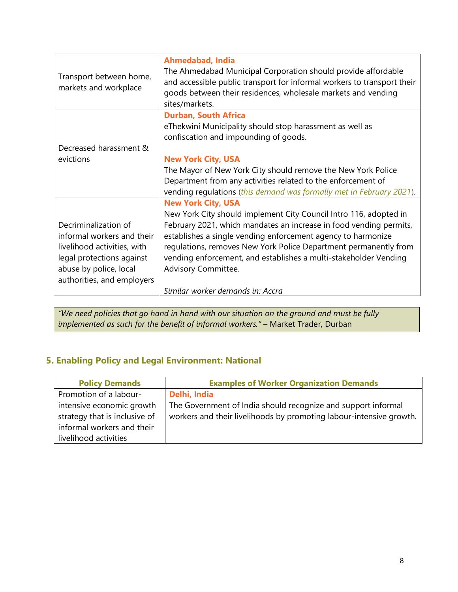| Transport between home,<br>markets and workplace                                                                                                                       | <b>Ahmedabad, India</b><br>The Ahmedabad Municipal Corporation should provide affordable<br>and accessible public transport for informal workers to transport their<br>goods between their residences, wholesale markets and vending<br>sites/markets.                                                                                                                 |
|------------------------------------------------------------------------------------------------------------------------------------------------------------------------|------------------------------------------------------------------------------------------------------------------------------------------------------------------------------------------------------------------------------------------------------------------------------------------------------------------------------------------------------------------------|
| Decreased harassment &                                                                                                                                                 | <b>Durban, South Africa</b><br>eThekwini Municipality should stop harassment as well as<br>confiscation and impounding of goods.                                                                                                                                                                                                                                       |
| evictions                                                                                                                                                              | <b>New York City, USA</b>                                                                                                                                                                                                                                                                                                                                              |
|                                                                                                                                                                        | The Mayor of New York City should remove the New York Police<br>Department from any activities related to the enforcement of<br>vending regulations (this demand was formally met in February 2021).                                                                                                                                                                   |
|                                                                                                                                                                        | <b>New York City, USA</b>                                                                                                                                                                                                                                                                                                                                              |
| Decriminalization of<br>informal workers and their<br>livelihood activities, with<br>legal protections against<br>abuse by police, local<br>authorities, and employers | New York City should implement City Council Intro 116, adopted in<br>February 2021, which mandates an increase in food vending permits,<br>establishes a single vending enforcement agency to harmonize<br>regulations, removes New York Police Department permanently from<br>vending enforcement, and establishes a multi-stakeholder Vending<br>Advisory Committee. |
|                                                                                                                                                                        | Similar worker demands in: Accra                                                                                                                                                                                                                                                                                                                                       |

*"We need policies that go hand in hand with our situation on the ground and must be fully implemented as such for the benefit of informal workers."* – Market Trader, Durban

# **5. Enabling Policy and Legal Environment: National**

| <b>Policy Demands</b>         | <b>Examples of Worker Organization Demands</b>                      |
|-------------------------------|---------------------------------------------------------------------|
| Promotion of a labour-        | Delhi, India                                                        |
| intensive economic growth     | The Government of India should recognize and support informal       |
| strategy that is inclusive of | workers and their livelihoods by promoting labour-intensive growth. |
| informal workers and their    |                                                                     |
| livelihood activities         |                                                                     |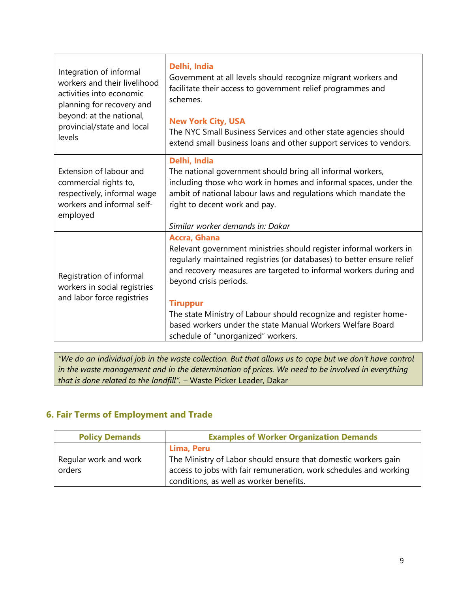| Integration of informal<br>workers and their livelihood<br>activities into economic<br>planning for recovery and<br>beyond: at the national,<br>provincial/state and local<br>levels | Delhi, India<br>Government at all levels should recognize migrant workers and<br>facilitate their access to government relief programmes and<br>schemes.<br><b>New York City, USA</b><br>The NYC Small Business Services and other state agencies should<br>extend small business loans and other support services to vendors.                                                                                                                                |
|--------------------------------------------------------------------------------------------------------------------------------------------------------------------------------------|---------------------------------------------------------------------------------------------------------------------------------------------------------------------------------------------------------------------------------------------------------------------------------------------------------------------------------------------------------------------------------------------------------------------------------------------------------------|
| Extension of labour and<br>commercial rights to,<br>respectively, informal wage<br>workers and informal self-<br>employed                                                            | Delhi, India<br>The national government should bring all informal workers,<br>including those who work in homes and informal spaces, under the<br>ambit of national labour laws and regulations which mandate the<br>right to decent work and pay.<br>Similar worker demands in: Dakar                                                                                                                                                                        |
| Registration of informal<br>workers in social registries<br>and labor force registries                                                                                               | <b>Accra, Ghana</b><br>Relevant government ministries should register informal workers in<br>regularly maintained registries (or databases) to better ensure relief<br>and recovery measures are targeted to informal workers during and<br>beyond crisis periods.<br><b>Tiruppur</b><br>The state Ministry of Labour should recognize and register home-<br>based workers under the state Manual Workers Welfare Board<br>schedule of "unorganized" workers. |

*"We do an individual job in the waste collection. But that allows us to cope but we don't have control in the waste management and in the determination of prices. We need to be involved in everything that is done related to the landfill".* – Waste Picker Leader, Dakar

## **6. Fair Terms of Employment and Trade**

| <b>Policy Demands</b>           | <b>Examples of Worker Organization Demands</b>                                                                                                                                               |
|---------------------------------|----------------------------------------------------------------------------------------------------------------------------------------------------------------------------------------------|
| Regular work and work<br>orders | Lima, Peru<br>The Ministry of Labor should ensure that domestic workers gain<br>access to jobs with fair remuneration, work schedules and working<br>conditions, as well as worker benefits. |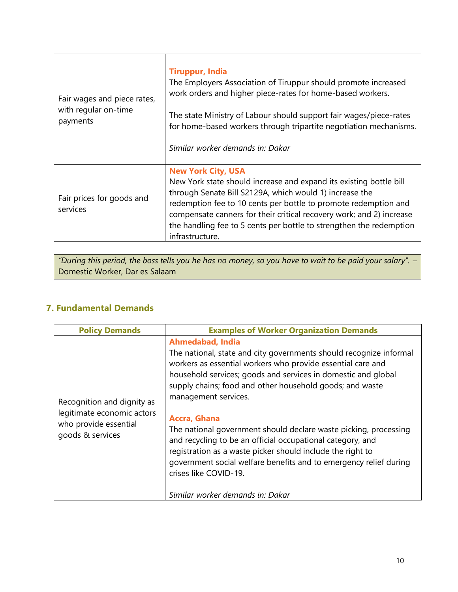| Fair wages and piece rates,<br>with regular on-time<br>payments | <b>Tiruppur, India</b><br>The Employers Association of Tiruppur should promote increased<br>work orders and higher piece-rates for home-based workers.<br>The state Ministry of Labour should support fair wages/piece-rates<br>for home-based workers through tripartite negotiation mechanisms.<br>Similar worker demands in: Dakar                                                           |
|-----------------------------------------------------------------|-------------------------------------------------------------------------------------------------------------------------------------------------------------------------------------------------------------------------------------------------------------------------------------------------------------------------------------------------------------------------------------------------|
| Fair prices for goods and<br>services                           | <b>New York City, USA</b><br>New York state should increase and expand its existing bottle bill<br>through Senate Bill S2129A, which would 1) increase the<br>redemption fee to 10 cents per bottle to promote redemption and<br>compensate canners for their critical recovery work; and 2) increase<br>the handling fee to 5 cents per bottle to strengthen the redemption<br>infrastructure. |

*"During this period, the boss tells you he has no money, so you have to wait to be paid your salary". –* Domestic Worker, Dar es Salaam

# **7. Fundamental Demands**

 $\Gamma$ 

| <b>Policy Demands</b>                                                                                 | <b>Examples of Worker Organization Demands</b>                                                                                                                                                                                                                                                                                                        |
|-------------------------------------------------------------------------------------------------------|-------------------------------------------------------------------------------------------------------------------------------------------------------------------------------------------------------------------------------------------------------------------------------------------------------------------------------------------------------|
| Recognition and dignity as<br>legitimate economic actors<br>who provide essential<br>goods & services | <b>Ahmedabad, India</b><br>The national, state and city governments should recognize informal<br>workers as essential workers who provide essential care and<br>household services; goods and services in domestic and global<br>supply chains; food and other household goods; and waste<br>management services.                                     |
|                                                                                                       | <b>Accra, Ghana</b><br>The national government should declare waste picking, processing<br>and recycling to be an official occupational category, and<br>registration as a waste picker should include the right to<br>government social welfare benefits and to emergency relief during<br>crises like COVID-19.<br>Similar worker demands in: Dakar |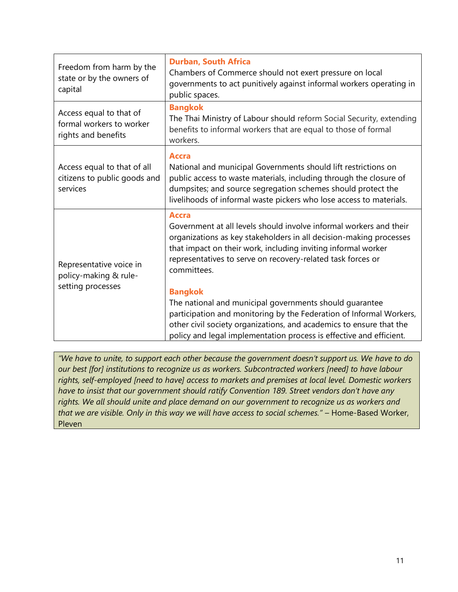| Freedom from harm by the<br>state or by the owners of<br>capital           | <b>Durban, South Africa</b><br>Chambers of Commerce should not exert pressure on local<br>governments to act punitively against informal workers operating in<br>public spaces.                                                                                                                                                                                                                                                                                                                                                                                                                           |
|----------------------------------------------------------------------------|-----------------------------------------------------------------------------------------------------------------------------------------------------------------------------------------------------------------------------------------------------------------------------------------------------------------------------------------------------------------------------------------------------------------------------------------------------------------------------------------------------------------------------------------------------------------------------------------------------------|
| Access equal to that of<br>formal workers to worker<br>rights and benefits | <b>Bangkok</b><br>The Thai Ministry of Labour should reform Social Security, extending<br>benefits to informal workers that are equal to those of formal<br>workers.                                                                                                                                                                                                                                                                                                                                                                                                                                      |
| Access equal to that of all<br>citizens to public goods and<br>services    | <b>Accra</b><br>National and municipal Governments should lift restrictions on<br>public access to waste materials, including through the closure of<br>dumpsites; and source segregation schemes should protect the<br>livelihoods of informal waste pickers who lose access to materials.                                                                                                                                                                                                                                                                                                               |
| Representative voice in<br>policy-making & rule-<br>setting processes      | <b>Accra</b><br>Government at all levels should involve informal workers and their<br>organizations as key stakeholders in all decision-making processes<br>that impact on their work, including inviting informal worker<br>representatives to serve on recovery-related task forces or<br>committees.<br><b>Bangkok</b><br>The national and municipal governments should guarantee<br>participation and monitoring by the Federation of Informal Workers,<br>other civil society organizations, and academics to ensure that the<br>policy and legal implementation process is effective and efficient. |

*"We have to unite, to support each other because the government doesn't support us. We have to do our best [for] institutions to recognize us as workers. Subcontracted workers [need] to have labour rights, self-employed [need to have] access to markets and premises at local level. Domestic workers have to insist that our government should ratify Convention 189. Street vendors don't have any rights. We all should unite and place demand on our government to recognize us as workers and that we are visible. Only in this way we will have access to social schemes."* – Home-Based Worker, Pleven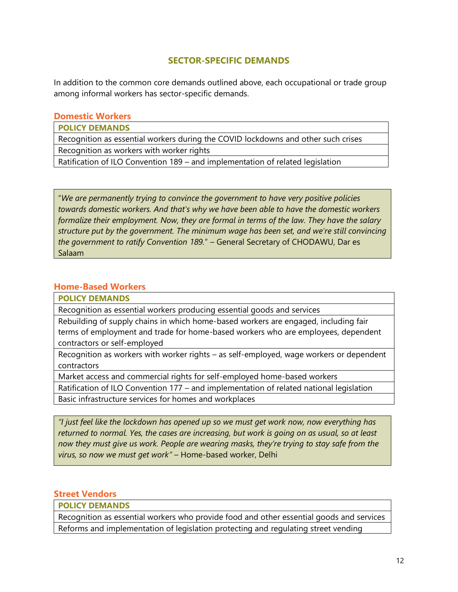#### **SECTOR-SPECIFIC DEMANDS**

In addition to the common core demands outlined above, each occupational or trade group among informal workers has sector-specific demands.

#### **Domestic Workers**

**POLICY DEMANDS**

Recognition as essential workers during the COVID lockdowns and other such crises Recognition as workers with worker rights

Ratification of ILO Convention 189 – and implementation of related legislation

"*We are permanently trying to convince the government to have very positive policies towards domestic workers. And that's why we have been able to have the domestic workers formalize their employment. Now, they are formal in terms of the law. They have the salary structure put by the government. The minimum wage has been set, and we're still convincing the government to ratify Convention 189.*" – General Secretary of CHODAWU, Dar es Salaam

#### **Home-Based Workers**

**POLICY DEMANDS**

Recognition as essential workers producing essential goods and services

Rebuilding of supply chains in which home-based workers are engaged, including fair terms of employment and trade for home-based workers who are employees, dependent contractors or self-employed

Recognition as workers with worker rights – as self-employed, wage workers or dependent contractors

Market access and commercial rights for self-employed home-based workers

Ratification of ILO Convention 177 – and implementation of related national legislation

Basic infrastructure services for homes and workplaces

*"I just feel like the lockdown has opened up so we must get work now, now everything has returned to normal. Yes, the cases are increasing, but work is going on as usual, so at least now they must give us work. People are wearing masks, they're trying to stay safe from the virus, so now we must get work"* – Home-based worker, Delhi

#### **Street Vendors**

**POLICY DEMANDS**

Recognition as essential workers who provide food and other essential goods and services Reforms and implementation of legislation protecting and regulating street vending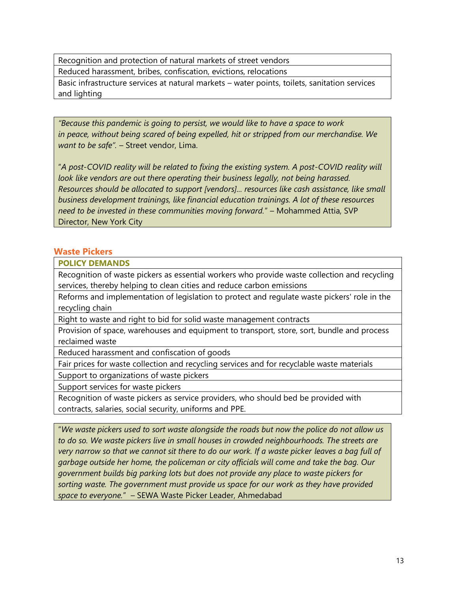Recognition and protection of natural markets of street vendors

Reduced harassment, bribes, confiscation, evictions, relocations

Basic infrastructure services at natural markets – water points, toilets, sanitation services and lighting

*"Because this pandemic is going to persist, we would like to have a space to work in peace, without being scared of being expelled, hit or stripped from our merchandise. We want to be safe".* – Street vendor, Lima.

"*A post-COVID reality will be related to fixing the existing system. A post-COVID reality will look like vendors are out there operating their business legally, not being harassed. Resources should be allocated to support [vendors]... resources like cash assistance, like small business development trainings, like financial education trainings. A lot of these resources need to be invested in these communities moving forward.*" – Mohammed Attia, SVP Director, New York City

#### **Waste Pickers**

#### **POLICY DEMANDS**

Recognition of waste pickers as essential workers who provide waste collection and recycling services, thereby helping to clean cities and reduce carbon emissions

Reforms and implementation of legislation to protect and regulate waste pickers' role in the recycling chain

Right to waste and right to bid for solid waste management contracts

Provision of space, warehouses and equipment to transport, store, sort, bundle and process reclaimed waste

Reduced harassment and confiscation of goods

Fair prices for waste collection and recycling services and for recyclable waste materials

Support to organizations of waste pickers

Support services for waste pickers

Recognition of waste pickers as service providers, who should bed be provided with contracts, salaries, social security, uniforms and PPE.

"*We waste pickers used to sort waste alongside the roads but now the police do not allow us to do so. We waste pickers live in small houses in crowded neighbourhoods. The streets are very narrow so that we cannot sit there to do our work. If a waste picker leaves a bag full of garbage outside her home, the policeman or city officials will come and take the bag. Our government builds big parking lots but does not provide any place to waste pickers for sorting waste. The government must provide us space for our work as they have provided space to everyone.*" – SEWA Waste Picker Leader, Ahmedabad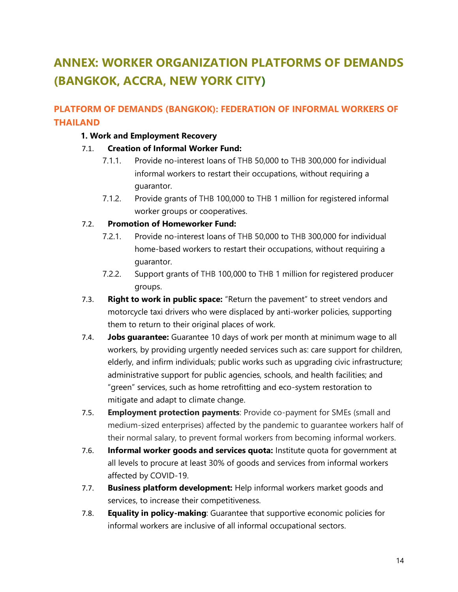# **ANNEX: WORKER ORGANIZATION PLATFORMS OF DEMANDS (BANGKOK, ACCRA, NEW YORK CITY)**

# **PLATFORM OF DEMANDS (BANGKOK): FEDERATION OF INFORMAL WORKERS OF THAILAND**

#### **1. Work and Employment Recovery**

#### 7.1. **Creation of Informal Worker Fund:**

- 7.1.1. Provide no-interest loans of THB 50,000 to THB 300,000 for individual informal workers to restart their occupations, without requiring a guarantor.
- 7.1.2. Provide grants of THB 100,000 to THB 1 million for registered informal worker groups or cooperatives.

#### 7.2. **Promotion of Homeworker Fund:**

- 7.2.1. Provide no-interest loans of THB 50,000 to THB 300,000 for individual home-based workers to restart their occupations, without requiring a guarantor.
- 7.2.2. Support grants of THB 100,000 to THB 1 million for registered producer groups.
- 7.3. **Right to work in public space:** "Return the pavement" to street vendors and motorcycle taxi drivers who were displaced by anti-worker policies, supporting them to return to their original places of work.
- 7.4. **Jobs guarantee:** Guarantee 10 days of work per month at minimum wage to all workers, by providing urgently needed services such as: care support for children, elderly, and infirm individuals; public works such as upgrading civic infrastructure; administrative support for public agencies, schools, and health facilities; and "green" services, such as home retrofitting and eco-system restoration to mitigate and adapt to climate change.
- 7.5. **Employment protection payments**: Provide co-payment for SMEs (small and medium-sized enterprises) affected by the pandemic to guarantee workers half of their normal salary, to prevent formal workers from becoming informal workers.
- 7.6. **Informal worker goods and services quota:** Institute quota for government at all levels to procure at least 30% of goods and services from informal workers affected by COVID-19.
- 7.7. **Business platform development:** Help informal workers market goods and services, to increase their competitiveness.
- 7.8. **Equality in policy-making**: Guarantee that supportive economic policies for informal workers are inclusive of all informal occupational sectors.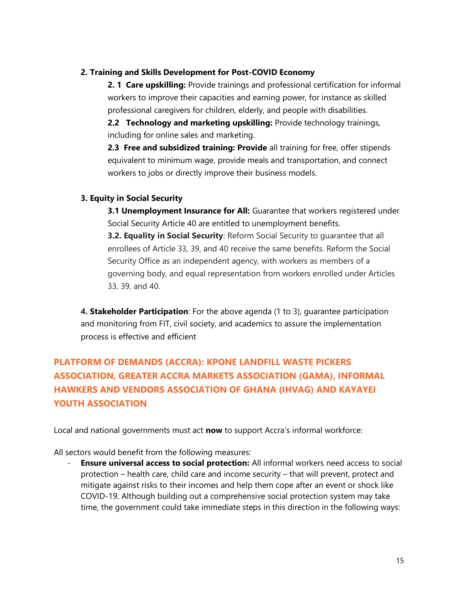#### **2. Training and Skills Development for Post-COVID Economy**

**2. 1 Care upskilling:** Provide trainings and professional certification for informal workers to improve their capacities and earning power, for instance as skilled professional caregivers for children, elderly, and people with disabilities.

**2.2 Technology and marketing upskilling:** Provide technology trainings, including for online sales and marketing.

**2.3 Free and subsidized training: Provide** all training for free, offer stipends equivalent to minimum wage, provide meals and transportation, and connect workers to jobs or directly improve their business models.

#### **3. Equity in Social Security**

**3.1 Unemployment Insurance for All:** Guarantee that workers registered under Social Security Article 40 are entitled to unemployment benefits.

**3.2. Equality in Social Security**: Reform Social Security to quarantee that all enrollees of Article 33, 39, and 40 receive the same benefits. Reform the Social Security Office as an independent agency, with workers as members of a governing body, and equal representation from workers enrolled under Articles 33, 39, and 40.

**4. Stakeholder Participation**: For the above agenda (1 to 3), guarantee participation and monitoring from FIT, civil society, and academics to assure the implementation process is effective and efficient

# **PLATFORM OF DEMANDS (ACCRA): KPONE LANDFILL WASTE PICKERS ASSOCIATION, GREATER ACCRA MARKETS ASSOCIATION (GAMA), INFORMAL HAWKERS AND VENDORS ASSOCIATION OF GHANA (IHVAG) AND KAYAYEI YOUTH ASSOCIATION**

Local and national governments must act **now** to support Accra's informal workforce:

All sectors would benefit from the following measures:

**Ensure universal access to social protection:** All informal workers need access to social protection – health care, child care and income security – that will prevent, protect and mitigate against risks to their incomes and help them cope after an event or shock like COVID-19. Although building out a comprehensive social protection system may take time, the government could take immediate steps in this direction in the following ways: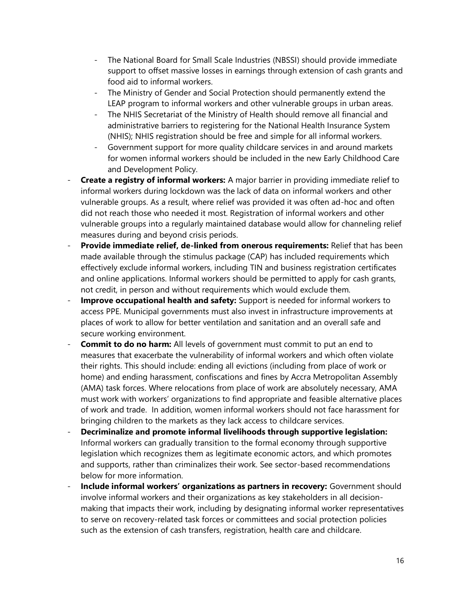- The National Board for Small Scale Industries (NBSSI) should provide immediate support to offset massive losses in earnings through extension of cash grants and food aid to informal workers.
- The Ministry of Gender and Social Protection should permanently extend the LEAP program to informal workers and other vulnerable groups in urban areas.
- The NHIS Secretariat of the Ministry of Health should remove all financial and administrative barriers to registering for the National Health Insurance System (NHIS); NHIS registration should be free and simple for all informal workers.
- Government support for more quality childcare services in and around markets for women informal workers should be included in the new Early Childhood Care and Development Policy.
- **Create a registry of informal workers:** A major barrier in providing immediate relief to informal workers during lockdown was the lack of data on informal workers and other vulnerable groups. As a result, where relief was provided it was often ad-hoc and often did not reach those who needed it most. Registration of informal workers and other vulnerable groups into a regularly maintained database would allow for channeling relief measures during and beyond crisis periods.
- Provide immediate relief, de-linked from onerous requirements: Relief that has been made available through the stimulus package (CAP) has included requirements which effectively exclude informal workers, including TIN and business registration certificates and online applications. Informal workers should be permitted to apply for cash grants, not credit, in person and without requirements which would exclude them.
- **Improve occupational health and safety:** Support is needed for informal workers to access PPE. Municipal governments must also invest in infrastructure improvements at places of work to allow for better ventilation and sanitation and an overall safe and secure working environment.
- **Commit to do no harm:** All levels of government must commit to put an end to measures that exacerbate the vulnerability of informal workers and which often violate their rights. This should include: ending all evictions (including from place of work or home) and ending harassment, confiscations and fines by Accra Metropolitan Assembly (AMA) task forces. Where relocations from place of work are absolutely necessary, AMA must work with workers' organizations to find appropriate and feasible alternative places of work and trade. In addition, women informal workers should not face harassment for bringing children to the markets as they lack access to childcare services.
- **Decriminalize and promote informal livelihoods through supportive legislation:**  Informal workers can gradually transition to the formal economy through supportive legislation which recognizes them as legitimate economic actors, and which promotes and supports, rather than criminalizes their work. See sector-based recommendations below for more information.
- Include informal workers' organizations as partners in recovery: Government should involve informal workers and their organizations as key stakeholders in all decisionmaking that impacts their work, including by designating informal worker representatives to serve on recovery-related task forces or committees and social protection policies such as the extension of cash transfers, registration, health care and childcare.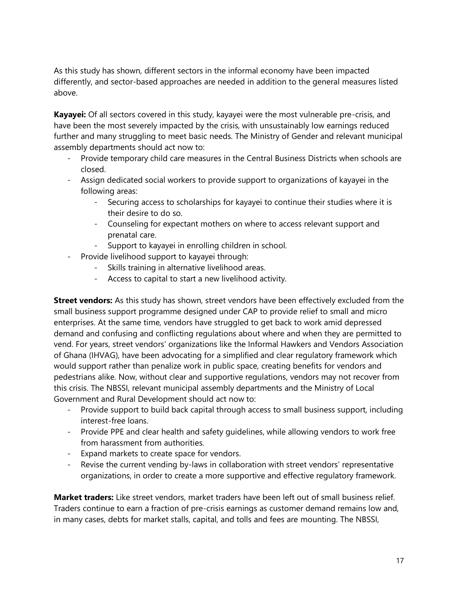As this study has shown, different sectors in the informal economy have been impacted differently, and sector-based approaches are needed in addition to the general measures listed above.

**Kayayei:** Of all sectors covered in this study, kayayei were the most vulnerable pre-crisis, and have been the most severely impacted by the crisis, with unsustainably low earnings reduced further and many struggling to meet basic needs. The Ministry of Gender and relevant municipal assembly departments should act now to:

- Provide temporary child care measures in the Central Business Districts when schools are closed.
- Assign dedicated social workers to provide support to organizations of kayayei in the following areas:
	- Securing access to scholarships for kayayei to continue their studies where it is their desire to do so.
	- Counseling for expectant mothers on where to access relevant support and prenatal care.
	- Support to kayayei in enrolling children in school.
- Provide livelihood support to kayayei through:
	- Skills training in alternative livelihood areas.
	- Access to capital to start a new livelihood activity.

**Street vendors:** As this study has shown, street vendors have been effectively excluded from the small business support programme designed under CAP to provide relief to small and micro enterprises. At the same time, vendors have struggled to get back to work amid depressed demand and confusing and conflicting regulations about where and when they are permitted to vend. For years, street vendors' organizations like the Informal Hawkers and Vendors Association of Ghana (IHVAG), have been advocating for a simplified and clear regulatory framework which would support rather than penalize work in public space, creating benefits for vendors and pedestrians alike. Now, without clear and supportive regulations, vendors may not recover from this crisis. The NBSSI, relevant municipal assembly departments and the Ministry of Local Government and Rural Development should act now to:

- Provide support to build back capital through access to small business support, including interest-free loans.
- Provide PPE and clear health and safety guidelines, while allowing vendors to work free from harassment from authorities.
- Expand markets to create space for vendors.
- Revise the current vending by-laws in collaboration with street vendors' representative organizations, in order to create a more supportive and effective regulatory framework.

**Market traders:** Like street vendors, market traders have been left out of small business relief. Traders continue to earn a fraction of pre-crisis earnings as customer demand remains low and, in many cases, debts for market stalls, capital, and tolls and fees are mounting. The NBSSI,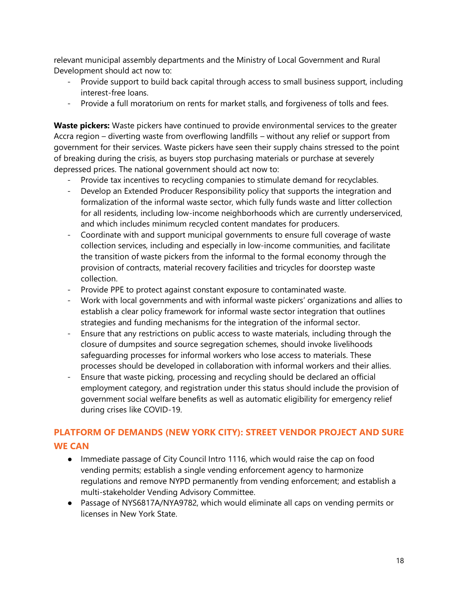relevant municipal assembly departments and the Ministry of Local Government and Rural Development should act now to:

- Provide support to build back capital through access to small business support, including interest-free loans.
- Provide a full moratorium on rents for market stalls, and forgiveness of tolls and fees.

**Waste pickers:** Waste pickers have continued to provide environmental services to the greater Accra region – diverting waste from overflowing landfills – without any relief or support from government for their services. Waste pickers have seen their supply chains stressed to the point of breaking during the crisis, as buyers stop purchasing materials or purchase at severely depressed prices. The national government should act now to:

- Provide tax incentives to recycling companies to stimulate demand for recyclables.
- Develop an Extended Producer Responsibility policy that supports the integration and formalization of the informal waste sector, which fully funds waste and litter collection for all residents, including low-income neighborhoods which are currently underserviced, and which includes minimum recycled content mandates for producers.
- Coordinate with and support municipal governments to ensure full coverage of waste collection services, including and especially in low-income communities, and facilitate the transition of waste pickers from the informal to the formal economy through the provision of contracts, material recovery facilities and tricycles for doorstep waste collection.
- Provide PPE to protect against constant exposure to contaminated waste.
- Work with local governments and with informal waste pickers' organizations and allies to establish a clear policy framework for informal waste sector integration that outlines strategies and funding mechanisms for the integration of the informal sector.
- Ensure that any restrictions on public access to waste materials, including through the closure of dumpsites and source segregation schemes, should invoke livelihoods safeguarding processes for informal workers who lose access to materials. These processes should be developed in collaboration with informal workers and their allies.
- Ensure that waste picking, processing and recycling should be declared an official employment category, and registration under this status should include the provision of government social welfare benefits as well as automatic eligibility for emergency relief during crises like COVID-19.

# **PLATFORM OF DEMANDS (NEW YORK CITY): STREET VENDOR PROJECT AND SURE WE CAN**

- Immediate passage of City Council Intro 1116, which would raise the cap on food vending permits; establish a single vending enforcement agency to harmonize regulations and remove NYPD permanently from vending enforcement; and establish a multi-stakeholder Vending Advisory Committee.
- Passage of NYS6817A/NYA9782, which would eliminate all caps on vending permits or licenses in New York State.